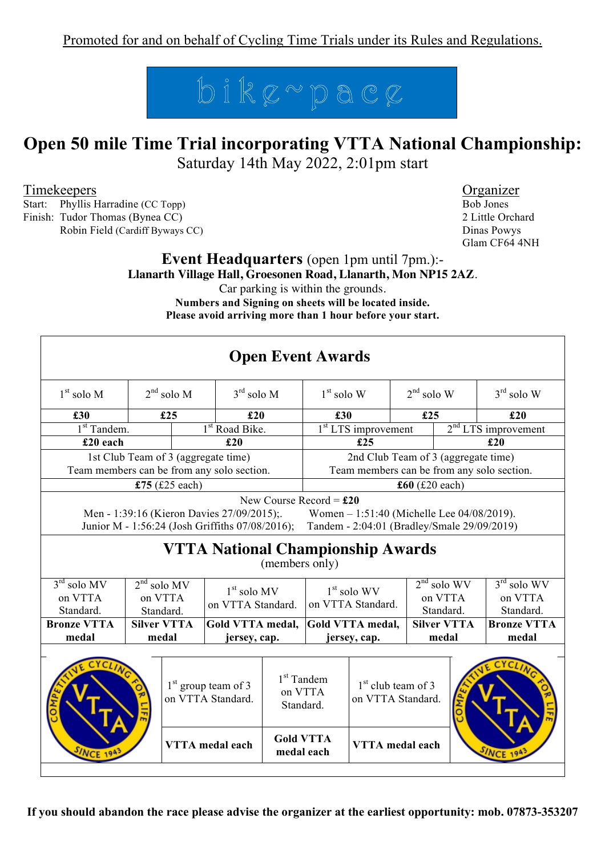

# **Open 50 mile Time Trial incorporating VTTA National Championship:**

Saturday 14th May 2022, 2:01pm start

Timekeepers Organizer

Start: Phyllis Harradine (CC Topp) Bob Jones Finish: Tudor Thomas (Bynea CC) 2 Little Orchard

Robin Field (Cardiff Byways CC) Dinas Powys

Glam CF64 4NH

#### **Event Headquarters** (open 1pm until 7pm.):- **Llanarth Village Hall, Groesonen Road, Llanarth, Mon NP15 2AZ**.

Car parking is within the grounds.

**Numbers and Signing on sheets will be located inside. Please avoid arriving more than 1 hour before your start.**

| <b>Open Event Awards</b>                                                                                                                                                                  |                           |               |                                                                              |                                                                        |                                                                                                  |                       |                                                                                                                                                                                                     |  |
|-------------------------------------------------------------------------------------------------------------------------------------------------------------------------------------------|---------------------------|---------------|------------------------------------------------------------------------------|------------------------------------------------------------------------|--------------------------------------------------------------------------------------------------|-----------------------|-----------------------------------------------------------------------------------------------------------------------------------------------------------------------------------------------------|--|
| $2nd$ solo M                                                                                                                                                                              |                           |               | $1st$ solo W                                                                 |                                                                        | $2nd$ solo W                                                                                     |                       | $3rd$ solo W                                                                                                                                                                                        |  |
|                                                                                                                                                                                           |                           |               |                                                                              |                                                                        |                                                                                                  |                       | £20                                                                                                                                                                                                 |  |
| 1 <sup>st</sup> Tandem.<br>1 <sup>st</sup> Road Bike.                                                                                                                                     |                           |               | $2nd LTS$ improvement                                                        |                                                                        |                                                                                                  |                       |                                                                                                                                                                                                     |  |
| £20 each<br>£20                                                                                                                                                                           |                           |               |                                                                              |                                                                        |                                                                                                  |                       | £20                                                                                                                                                                                                 |  |
| 1st Club Team of 3 (aggregate time)                                                                                                                                                       |                           |               |                                                                              | 2nd Club Team of 3 (aggregate time)                                    |                                                                                                  |                       |                                                                                                                                                                                                     |  |
| Team members can be from any solo section.                                                                                                                                                |                           |               |                                                                              |                                                                        |                                                                                                  |                       |                                                                                                                                                                                                     |  |
| £75 $(f25$ each)                                                                                                                                                                          |                           |               |                                                                              |                                                                        |                                                                                                  |                       |                                                                                                                                                                                                     |  |
| Men - 1:39:16 (Kieron Davies 27/09/2015);<br>Women - 1:51:40 (Michelle Lee 04/08/2019).<br>Junior M - 1:56:24 (Josh Griffiths 07/08/2016);<br>Tandem - 2:04:01 (Bradley/Smale 29/09/2019) |                           |               |                                                                              |                                                                        |                                                                                                  |                       |                                                                                                                                                                                                     |  |
| <b>VTTA National Championship Awards</b><br>(members only)                                                                                                                                |                           |               |                                                                              |                                                                        |                                                                                                  |                       |                                                                                                                                                                                                     |  |
| $2nd$ solo MV<br>on VTTA                                                                                                                                                                  |                           | $1st$ solo MV |                                                                              | $1st$ solo WV                                                          |                                                                                                  |                       | $3rd$ solo WV                                                                                                                                                                                       |  |
|                                                                                                                                                                                           |                           |               |                                                                              |                                                                        |                                                                                                  |                       | on VTTA                                                                                                                                                                                             |  |
|                                                                                                                                                                                           |                           |               |                                                                              |                                                                        |                                                                                                  |                       | Standard.                                                                                                                                                                                           |  |
| <b>Bronze VTTA</b><br><b>Silver VTTA</b><br>medal                                                                                                                                         |                           |               |                                                                              |                                                                        |                                                                                                  |                       | <b>Bronze VTTA</b>                                                                                                                                                                                  |  |
|                                                                                                                                                                                           |                           |               |                                                                              |                                                                        |                                                                                                  |                       | medal                                                                                                                                                                                               |  |
| $1st$ group team of 3<br>on VTTA Standard.<br><b>VTTA</b> medal each<br><b>NCE</b>                                                                                                        |                           |               |                                                                              |                                                                        | $1st$ club team of 3<br><b>SINCE</b>                                                             |                       |                                                                                                                                                                                                     |  |
|                                                                                                                                                                                           | £25<br>Standard.<br>medal |               | $3rd$ solo M<br>£20<br>on VTTA Standard.<br>Gold VTTA medal,<br>jersey, cap. | $1st$ Tandem<br>on VTTA<br>Standard.<br><b>Gold VTTA</b><br>medal each | £30<br>£25<br>New Course Record = $£20$<br>on VTTA Standard.<br>Gold VTTA medal,<br>jersey, cap. | $1st LTS$ improvement | £25<br>Team members can be from any solo section.<br>$\pounds 60$ (£20 each)<br>$2nd$ solo WV<br>on VTTA<br>Standard.<br><b>Silver VTTA</b><br>medal<br>on VTTA Standard.<br><b>VTTA</b> medal each |  |

**If you should abandon the race please advise the organizer at the earliest opportunity: mob. 07873-353207**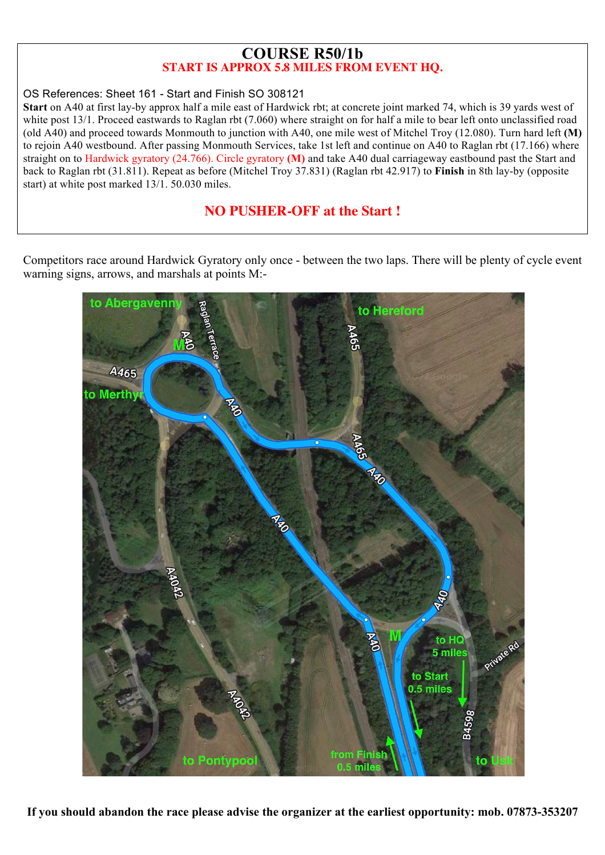#### **COURSE R50/1b START IS APPROX 5.8 MILES FROM EVENT HQ.**

#### OS References: Sheet 161 - Start and Finish SO 308121

**Start** on A40 at first lay-by approx half a mile east of Hardwick rbt; at concrete joint marked 74, which is 39 yards west of white post 13/1. Proceed eastwards to Raglan rbt (7.060) where straight on for half a mile to bear left onto unclassified road (old A40) and proceed towards Monmouth to junction with A40, one mile west of Mitchel Troy (12.080). Turn hard left **(M)**  to rejoin A40 westbound. After passing Monmouth Services, take 1st left and continue on A40 to Raglan rbt (17.166) where straight on to Hardwick gyratory (24.766). Circle gyratory **(M)** and take A40 dual carriageway eastbound past the Start and back to Raglan rbt (31.811). Repeat as before (Mitchel Troy 37.831) (Raglan rbt 42.917) to **Finish** in 8th lay-by (opposite start) at white post marked 13/1. 50.030 miles.

#### **NO PUSHER-OFF at the Start !**

Competitors race around Hardwick Gyratory only once - between the two laps. There will be plenty of cycle event warning signs, arrows, and marshals at points M:-



**If you should abandon the race please advise the organizer at the earliest opportunity: mob. 07873-353207**